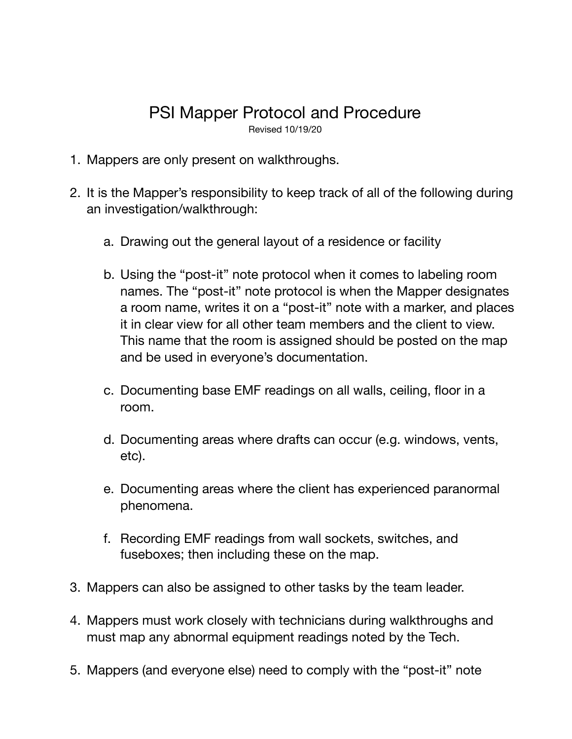## PSI Mapper Protocol and Procedure

Revised 10/19/20

- 1. Mappers are only present on walkthroughs.
- 2. It is the Mapper's responsibility to keep track of all of the following during an investigation/walkthrough:
	- a. Drawing out the general layout of a residence or facility
	- b. Using the "post-it" note protocol when it comes to labeling room names. The "post-it" note protocol is when the Mapper designates a room name, writes it on a "post-it" note with a marker, and places it in clear view for all other team members and the client to view. This name that the room is assigned should be posted on the map and be used in everyone's documentation.
	- c. Documenting base EMF readings on all walls, ceiling, floor in a room.
	- d. Documenting areas where drafts can occur (e.g. windows, vents, etc).
	- e. Documenting areas where the client has experienced paranormal phenomena.
	- f. Recording EMF readings from wall sockets, switches, and fuseboxes; then including these on the map.
- 3. Mappers can also be assigned to other tasks by the team leader.
- 4. Mappers must work closely with technicians during walkthroughs and must map any abnormal equipment readings noted by the Tech.
- 5. Mappers (and everyone else) need to comply with the "post-it" note